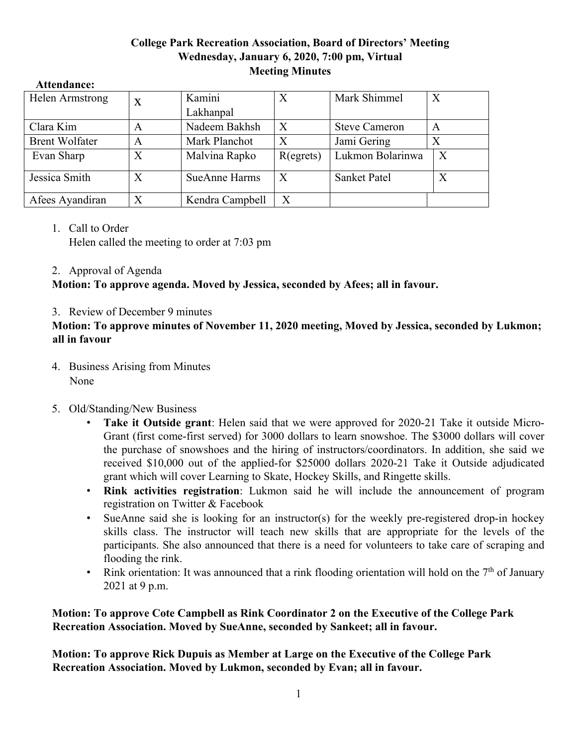## **College Park Recreation Association, Board of Directors' Meeting Wednesday, January 6, 2020, 7:00 pm, Virtual Meeting Minutes**

| 110001101011001       |   |                      |           |                      |   |
|-----------------------|---|----------------------|-----------|----------------------|---|
| Helen Armstrong       | X | Kamini               | X         | Mark Shimmel         | X |
|                       |   | Lakhanpal            |           |                      |   |
| Clara Kim             | A | Nadeem Bakhsh        | X         | <b>Steve Cameron</b> | A |
| <b>Brent Wolfater</b> | A | Mark Planchot        | Χ         | Jami Gering          |   |
| Evan Sharp            | X | Malvina Rapko        | R(egrets) | Lukmon Bolarinwa     | X |
| Jessica Smith         | X | <b>SueAnne Harms</b> | X         | <b>Sanket Patel</b>  | X |
| Afees Ayandiran       | X | Kendra Campbell      | X         |                      |   |

#### **Attendance:**

#### 1. Call to Order

Helen called the meeting to order at 7:03 pm

## 2. Approval of Agenda

**Motion: To approve agenda. Moved by Jessica, seconded by Afees; all in favour.**

# 3. Review of December 9 minutes

**Motion: To approve minutes of November 11, 2020 meeting, Moved by Jessica, seconded by Lukmon; all in favour**

- 4. Business Arising from Minutes None
- 5. Old/Standing/New Business
	- **Take it Outside grant**: Helen said that we were approved for 2020-21 Take it outside Micro-Grant (first come-first served) for 3000 dollars to learn snowshoe. The \$3000 dollars will cover the purchase of snowshoes and the hiring of instructors/coordinators. In addition, she said we received \$10,000 out of the applied-for \$25000 dollars 2020-21 Take it Outside adjudicated grant which will cover Learning to Skate, Hockey Skills, and Ringette skills.
	- **Rink activities registration**: Lukmon said he will include the announcement of program registration on Twitter & Facebook
	- SueAnne said she is looking for an instructor(s) for the weekly pre-registered drop-in hockey skills class. The instructor will teach new skills that are appropriate for the levels of the participants. She also announced that there is a need for volunteers to take care of scraping and flooding the rink.
	- Rink orientation: It was announced that a rink flooding orientation will hold on the  $7<sup>th</sup>$  of January 2021 at 9 p.m.

**Motion: To approve Cote Campbell as Rink Coordinator 2 on the Executive of the College Park Recreation Association. Moved by SueAnne, seconded by Sankeet; all in favour.** 

**Motion: To approve Rick Dupuis as Member at Large on the Executive of the College Park Recreation Association. Moved by Lukmon, seconded by Evan; all in favour.**